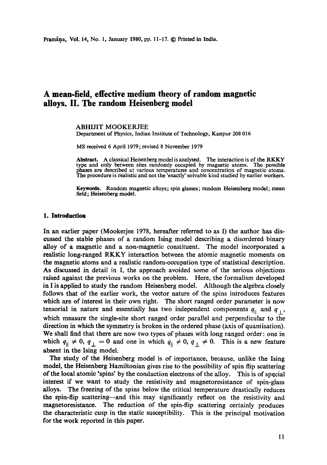# **A mean-field, effective medium theory of random magnetic alloys, lI. The random Heisenberg model**

# ABHIJIT MOOKERJEE

Department of Physics, Indian Institute of Technology, Kanpur 208 016

MS received 6 April 1979; revised 8 November 1979

Abstract. A classical Heisenberg model is analysed. The interaction is of the RKKY type and only between sites randomly occupied by magnetic atoms. The possible phases are described at various temperatures and concentration of magnetic atoms. The procedure is realistic and not the 'exactly' solvable kind studied by earlier workers.

Keywords. Random magnetic alloys; spin glasses; random Heisenberg model; mean **field; Heisenberg model.** 

#### **1. Introduction**

In an earlier paper (Mookerjce 1978, hereafter referred to as I) the author has discussed the stable phases of a random Ising model describing a disordered binary alloy of a magnetic and a non-magnetic constituent. The model incorporated a realistic long-ranged RKKY interaction between the atomic magnetic moments on the magnetic atoms and a realistic random-occupation type of statistical description. As discussed in detail in I, the approach avoided some of the serious objections raised against the previous works on the problem. Here, the formalism developed in I is applied to study the random Heisenberg model. Although the algebra closely follows that of the earlier work, the vector nature of the spins introduces features **which** are of interest in their own right. The short ranged order parameter is now tensorial in nature and essentially has two independent components  $q_{\parallel}$  and  $q_{\perp}$ , which measure the single-site short ranged order parallel and perpendicular to the direction in which the symmetry is broken in the ordered phase (axis of quantisation). We shall find that there are now two types of phases with long ranged order: one in which  $q_{\parallel} \neq 0$ ,  $q_{\perp} = 0$  and one in which  $q_{\parallel} \neq 0$ ,  $q_{\perp} \neq 0$ . This is a new feature absent in the Ising model.

The study of the Heisenberg model is of importance, because, unlike the Ising model, the Heisenberg Hamiltonian gives rise to the possibility of spin flip scattering of the local atomic 'spins' by the conduction electrons of the alloy. This is of special interest if we want to study the resistivity and magnetoresistance of spin-glass alloys. The freezing of the spins below the critical temperature drastically reduces **the** spin-flip scattering--and this may significantly reflect on the resistivity and magnetoresistance. The reduction of the spin-flip scattering certainly produces the characteristic cusp in the static susceptibility. This is the principal motivation for the work reported in this paper.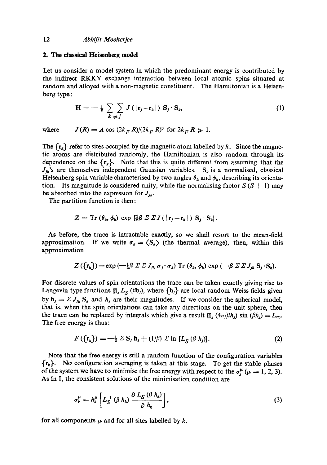## **2. The classical Heisenberg model**

Let us consider a model system in which the predominant energy is contributed by the indirect RKKY exchange interaction between local atomic spins situated at random and alloyed with a non-magnetic constituent. The Hamiltonian is a Heisenberg type:

$$
\mathbf{H} = -\frac{1}{2} \sum_{k \neq j} \sum_{j} J(|\mathbf{r}_{j}-\mathbf{r}_{k}|) \mathbf{S}_{j} \cdot \mathbf{S}_{k}, \qquad (1)
$$

where  $J(R) = A \cos (2k_F R)/(2k_F R)^3$  for  $2k_F R \gg 1$ .

The  $\{r_k\}$  refer to sites occupied by the magnetic atom labelled by k. Since the magnetic atoms are distributed randomly, the Hamiltonian is also random through its dependence on the  $\{r_k\}$ . Note that this is quite different from assuming that the  $J_{jk}$ 's are themselves independent Gaussian variables. S<sub>k</sub> is a normalised, classical Heisenberg spin variable characterised by two angles  $\theta_k$  and  $\phi_k$ , describing its orientation. Its magnitude is considered unity, while the normalising factor  $S(S + 1)$  may be absorbed into the expression for  $J_{ik}$ .

The partition function is then:

$$
Z = \mathrm{Tr} \left( \theta_k, \phi_k \right) \exp \left[ \frac{1}{2} \beta \Sigma \Sigma J \left( \left| \mathbf{r}_j - \mathbf{r}_k \right| \right) \mathbf{S}_j \cdot \mathbf{S}_k \right].
$$

As before, the trace is intractable exactly, so we shall resort to the mean-field approximation. If we write  $\sigma_k = \langle S_k \rangle$  (the thermal average), then, within this approximation

$$
Z(\lbrace \mathbf{r}_k \rbrace) = \exp\left(-\tfrac{1}{2}\beta \Sigma \Sigma J_{jk} \sigma_j \cdot \sigma_k\right) \mathrm{Tr}\left(\theta_k, \phi_k\right) \exp\left(-\beta \Sigma \Sigma J_{jk} \mathbf{S}_j \cdot \mathbf{S}_k\right).
$$

For discrete values of spin orientations the trace can be taken exactly giving rise to Langevin type functions  $\Pi_j L_S (\beta \mathbf{h}_j)$ , where  $\{\mathbf{h}_j\}$  are local random Weiss fields given by  $\mathbf{h}_j = \sum J_{jk} S_k$  and  $h_j$  are their magnitudes. If we consider the spherical model, that is, when the spin orientations can take any directions on the unit sphere, then the trace can be replaced by integrals which give a result  $\Pi_j$  *(4* $\pi/\beta h_j$ *)* sin *(* $\beta h_j$ *)* = L<sub>∞</sub>. The free energy is thus:

$$
F(\lbrace \mathbf{r}_k \rbrace) = -\frac{1}{2} \Sigma \mathbf{S}_j \mathbf{h}_j + (1/\beta) \Sigma \ln [L_{\mathcal{S}}(\beta h_j)]. \tag{2}
$$

Note that the free energy is still a random function of the configuration variables  ${r_k}$ . No configuration averaging is taken at this stage. To get the stable phases of the system we have to minimise the free energy with respect to the  $\sigma_i^{\mu}$  ( $\mu = 1, 2, 3$ ). As in I, the consistent solutions of the minimisation condition are

$$
\sigma_k^{\mu} = h_k^{\mu} \left[ L_S^{-1} \left( \beta \ h_k \right) \frac{\partial \ L_S \left( \beta \ h_k \right)}{\partial \ h_k} \right], \tag{3}
$$

for all components  $\mu$  and for all sites labelled by  $k$ ,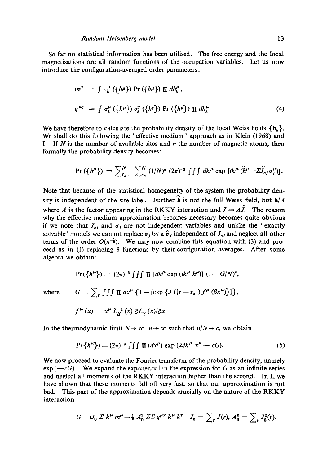So fax no statistical information has been utilised. The free energy and the local magnetisations are all random functions of the occupation variables. Let us now introduce the configuration-averaged order parameters:

$$
m^{\mu} = \int \sigma_k^{\mu} (\{h^{\mu}\}) \Pr (\{h^{\mu}\}) \prod dh_k^{\mu},
$$
  

$$
q^{\mu\gamma} = \int \sigma_k^{\mu} (\{h^{\mu}\}) \sigma_k^{\gamma} (\{h^{\gamma}\}) \Pr (\{h^{\mu}\}) \prod dh_k^{\mu}.
$$
 (4)

We have therefore to calculate the probability density of the local Weiss fields  $\{h_k\}$ . We shall do this following the 'effective medium' approach as in Klein (1968) and I. If N is the number of available sites and  $n$  the number of magnetic atoms, then formally the probability density becomes:

$$
\Pr\left(\left\{h^{\mu}\right\}\right) = \sum_{r_1}^{N} \sum_{\ldots}^{N} (1/N)^n (2\pi)^{-3} \int \int d k^{\mu} \exp\left[i k^{\mu} \left(\hat{h}^{\mu} - \Sigma \hat{J}_{oj} \sigma_j^{\mu}\right)\right].
$$

Note that because of the statistical homogeneity of the system the probability density is independent of the site label. Further  $\hat{h}$  is not the full Weiss field, but  $h/A$ where A is the factor appearing in the RKKY interaction and  $J = A\hat{J}$ . The reason why the effective medium approximation becomes necessary becomes quite obvious if we note that  $J_{oj}$  and  $\sigma_j$  are not independent variables and unlike the 'exactly solvable' models we cannot replace  $\sigma_j$  by a  $\hat{\sigma}_j$  independent of  $J_{oj}$  and neglect all other terms of the order  $O(n^{-\frac{1}{2}})$ . We may now combine this equation with (3) and proceed as in (1) replacing  $\delta$  functions by their configuration averages. After some algebra we obtain:

$$
\Pr(\lbrace h^{\mu}\rbrace) = (2\pi)^{-3} \iiint \prod [dk^{\mu} \exp(ik^{\mu} h^{\mu})] (1 - G/N)^{n},
$$
  
where 
$$
G = \sum_{\mathbf{r}} \iiint \prod dx^{\mu} \{1 - [\exp \{J(|\mathbf{r} - \mathbf{r}_{0}|) f^{\mu} (\beta x^{\mu})\}] \},
$$

$$
f^{\mu}(x) = x^{\mu} L_{S}^{-1}(x) \partial L_{S}(x) / \partial x.
$$

In the thermodynamic limit  $N \to \infty$ ,  $n \to \infty$  such that  $n/N \to c$ , we obtain

$$
P({h^{\mu}}) = (2\pi)^{-3} \iiint \Pi (dx^{\mu}) \exp (\Sigma ik^{\mu} x^{\mu} - cG).
$$
 (5)

We now proceed to evaluate the Fourier transform of the probability density, namely  $exp(-cG)$ . We expand the exponential in the expression for G as an infinite series and neglect all moments of the RKKY interaction higher than the second. In I, we have shown that these moments fall off very fast, so that our approximation is not bad. This part of the approximation depends crucially on the nature of the RKKY interaction

$$
G = iJ_0 \Sigma k^{\mu} m^{\mu} + \frac{1}{2} A_0^2 \Sigma \Sigma q^{\mu \gamma} k^{\mu} k^{\gamma} J_0 = \sum_r J(r), A_0^2 = \sum_r J_0^2(r).
$$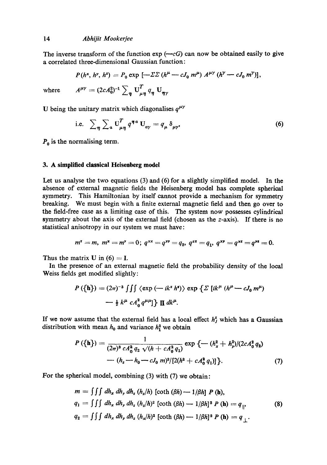The inverse transform of the function  $exp(-cG)$  can now be obtained easily to give a correlated three-dimensional Gaussian function:

$$
P(h^x, h^y, h^z) = P_0 \exp \left[ -\Sigma \Sigma (h^\mu - cJ_0 m^\mu) A^{\mu \gamma} (h^\gamma - cJ_0 m^\gamma) \right],
$$

where  $A^{\mu\nu} = (2cA_0^2)^{-1} \sum_{\eta} \mathbf{U}_{\mu\eta}^T q_{\eta} \mathbf{U}_{\eta\gamma}$ 

U being the unitary matrix which diagonalises  $q^{\mu\nu}$ 

i.e. 
$$
\sum_{\eta} \sum_{\alpha} U_{\mu \eta}^T q^{\eta \alpha} U_{\alpha \gamma} = q_{\mu} \delta_{\mu \gamma},
$$
 (6)

 $P_0$  is the normalising term.

# **3. A simplified classical Heisenberg model**

Let us analyse the two equations (3) and (6) for a slightly simplified model. In the absence of external magnetic fields the Heisenberg model has complete spherical symmetry. This Hamiltonian by itself cannot provide a mechanism for symmetry breaking. We must begin with a finite external magnetic field and then go over to the field-free case as a limiting case of this. The system now possesses cylindrical symmetry about the axis of the external field (chosen as the z-axis). If there is no statistical anisotropy in our system we must have:

$$
m^z = m, \; m^x = m^y = 0; \; q^{xx} = q^{yy} = q_2, \; q^{zz} = q_1, \; q^{xy} = q^{xz} = q^{yz} = 0.
$$

Thus the matrix U in  $(6) = I$ .

In the presence of an external magnetic field the probability density of the local Weiss fields get modified slightly:

$$
P(\{\mathbf{h}\}) = (2\pi)^{-3} \iiint \langle \exp(-ik^2 h^2) \rangle \exp \{ \Sigma \left[ ik^{\mu} (h^{\mu} - cJ_0 m^{\mu}) \right] - \frac{1}{2} k^{\mu} cA_0^2 q^{\mu\mu} \} \prod dk^{\mu}.
$$

If we now assume that the external field has a local effect  $h^z_j$  which has a Gaussian distribution with mean  $h_0$  and variance  $h_1^2$  we obtain

$$
P(\lbrace \mathbf{h} \rbrace) = \frac{1}{(2\pi)^3 c A_0^2 q_2 \sqrt{(h + c A_0^2 q_1)}} \exp \{-(h_x^2 + h_y^2)/(2c A_0^2 q_2) - (h_z - h_0 - c J_0 m)^2/[2(h^2 + c A_0^2 q_1)]\}.
$$
 (7)

For the spherical model, combining (3) with (7) we obtain:

$$
m = \iiint dh_x dh_y dh_z (h_z/h) \left[ \coth (\beta h) - 1/\beta h \right] P(\mathbf{h}),
$$
  
\n
$$
q_1 = \iiint dh_x dh_y dh_z (h_z/h)^2 \left[ \coth (\beta h) - 1/\beta h \right]^2 P(\mathbf{h}) = q_{\parallel},
$$
  
\n
$$
q_2 = \iiint dh_x dh_y dh_z (h_x/h)^2 \left[ \coth (\beta h) - 1/\beta h \right]^2 P(\mathbf{h}) = q_{\perp}.
$$
\n(8)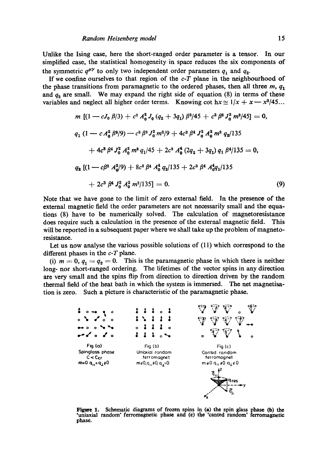Unlike the Ising case, here the short-ranged order parameter is a tensor. In our simplified ease, the statistical homogeneity in space reduces the six components of the symmetric  $q^{\mu\gamma}$  to only two independent order parameters  $q_1$  and  $q_2$ .

If we confine ourselves to that region of the *c-T* plane in the neighbourhood of the phase transitions from paramagnetic to the ordered phases, then all three  $m$ ,  $q_1$ and  $q_2$  are small. We may expand the right side of equation (8) in terms of these variables and neglect all higher order terms. Knowing cot  $hx \approx 1/x + x - x^2/45...$ 

$$
m \left[ (1 - cJ_0 \beta/3) + c^2 A_0^2 J_0 (q_2 + 3q_1) \beta^3/45 + c^3 \beta^3 J_0^3 m^2/45 \right] = 0,
$$
  
\n
$$
q_1 (1 - c A_0^2 \beta^2/9) - c^2 \beta^2 J_0^2 m^2/9 + 4c^3 \beta^4 J_0^2 A_0^2 m^2 q_2/135
$$
  
\n
$$
+ 4c^3 \beta^4 J_0^2 A_0^2 m^2 q_1/45 + 2c^2 A_0^4 (2q_2 + 3q_1) q_1 \beta^4/135 = 0,
$$
  
\n
$$
q_2 [(1 - c\beta^2 A_0^2/9) + 8c^2 \beta^4 A_0^4 q_2/135 + 2c^2 \beta^4 A_0^4 q_1/135 + 2c^3 \beta^4 J_0^2 A_0^2 m^2/135] = 0.
$$
  
\n(9)

Note that we have gone to the limit of zero external field. In the presence of the external magnetic field the order parameters are not necessarily small and the equations (8) have to be numerically solved. The calculation of magnetoresistanee does require such a calculation in the presence of the external magnetic field. This will be reported in a subsequent paper where we shall take up the problem of magnetoresistance.

Let us now analyse the various possible solutions of (11) which correspond to the different phases in the *c-T* plane.

(i)  $m = 0$ ,  $q_1 = q_2 = 0$ . This is the paramagnetic phase in which there is neither long- nor short-ranged ordering. The lifetimes of the vector spins in any direction are very small and the spins flip from direction to direction driven by the random thermal field of the heat bath in which the system is immersed. The net magnetisation is zero. Such a picture is characteristic of the paramagnetie phase.



Figure 1. Schematic diagrams of frozen spins in (a) the spin glass phase (b) the "uniaxial random' ferromagnetic phase and (c) the 'canted random' ferromagnetic phase.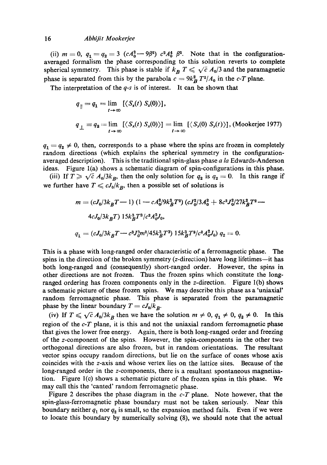## 16 *Abhijit Mookerjee*

(ii)  $m = 0$ ,  $q_1 = q_2 = 3$   $(cA_0^2 - 9\beta^2)$   $c^2A_0^4$   $\beta^2$ . Note that in the configurationaveraged formalism the phase corresponding to this solution reverts to complete spherical symmetry. This phase is stable if  $k_B T \leq \sqrt{c} A_0/3$  and the paramagnetic phase is separated from this by the parabola  $c = 9k_B^2 T^2/A_0$  in the *c-T* plane.

The interpretation of the *q-s* is of interest. It can be shown that

$$
q_{\parallel} = q_1 = \lim_{t \to \infty} [\langle S_x(t) S_x(0) \rangle],
$$
  
\n
$$
q_{\perp} = q_2 = \lim_{t \to \infty} [\langle S_x(t) S_x(0) \rangle] = \lim_{t \to \infty} [\langle S_y(0) S_y(t) \rangle], \text{(Mookerjee 1977)}
$$

 $q_1 = q_2 \neq 0$ , then, corresponds to a phase where the spins are frozen in completely random directions (which explains the spherical symmetry in the configurationaveraged description). This is the traditional spin-glass phase *a la* Edwards-Anderson ideas. Figure l(a) shows a schematic diagram of spin-configurations in this phase.

(iii) If  $T \ge \sqrt{c} A_0/3k_B$ , then the only solution for  $q_2$  is  $q_2 = 0$ . In this range if we further have  $T \n\leq c J_0 / k_B$ , then a possible set of solutions is

$$
m = (cJ_0/3k_BT - 1) (1 - cA_0^2/9k_BT^2) (cJ_0^2/3A_0^2 + 8c^2J_0^2/27k_BT^2 - 4cJ_0/3k_BT) 15k_BT^3/c^2A_0^2J_0,
$$
  
\n
$$
q_1 = (cJ_0/3k_BT - c^3J_0^3m^2/45k_BT^3) 15k_BT^3/c^2A_0^2J_0, q_2 = 0.
$$

This is a phase with long-ranged order characteristic of a ferromagnetic phase. The spins in the direction of the broken symmetry (z-direction) have long lifetimes—it has both long-ranged and (consequently) short-ranged order. However, the spins in other directions are not frozen. Thus the frozen spins which constitute the longranged ordering has frozen components only in the z-direction. Figure l(b) shows a schematic picture of these frozen spins. We may describe this phase as a 'uniaxial' random ferromagnetic phase. This phase is separated from the paramagnetic phase by the linear boundary  $T = cJ_0/k_B$ .

(iv) If  $T \leq \sqrt{c} A_0/3k_B$  then we have the solution  $m \neq 0$ ,  $q_1 \neq 0$ ,  $q_2 \neq 0$ . In this region of the *c-T* plane, it is this and not the uniaxial random ferromagnetic phase that gives the lower free energy. Again, there is both long-ranged order and freezing of the z-component of the spins. However, the spin-components in the other two orthogonal directions are also frozen, but in random orientations. The resultant vector spins occupy random directions, but lie on the surface of cones whose axis coincides with the z-axis and whose vertex lies on the lattice sites. Because of the long-ranged order in the z-components, there is a resultant spontaneous magnetisation. Figure l(c) shows a schematic picture of the frozen spins in this phase. We may call this the 'canted' random ferromagnetic phase.

Figure 2 describes the phase diagram in the *c-T* plane. Note however, that the spin-glass-ferromagnetic phase boundary must not be taken seriously. Near this boundary neither  $q_1$  nor  $q_2$  is small, so the expansion method fails. Even if we were to locate this boundary by numerically solving (8), we should note that the actual